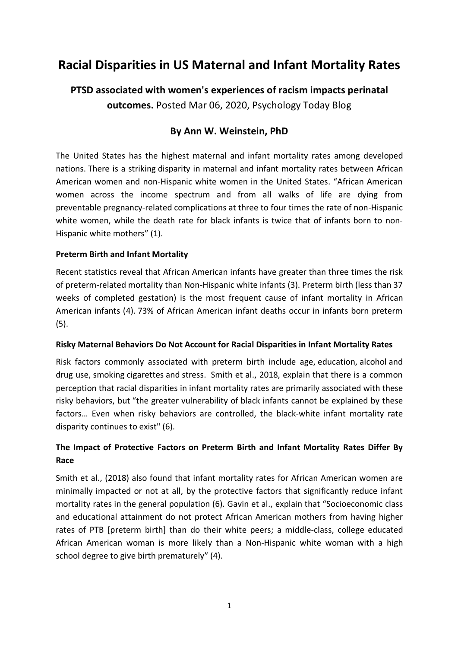# **Racial Disparities in US Maternal and Infant Mortality Rates**

# **PTSD associated with women's experiences of racism impacts perinatal outcomes.** Posted Mar 06, 2020, Psychology Today Blog

# **By Ann W. Weinstein, PhD**

The United States has the highest maternal and infant mortality rates among developed nations. There is a striking disparity in maternal and infant mortality rates between African American women and non-Hispanic white women in the United States. "African American women across the income spectrum and from all walks of life are dying from preventable pregnancy-related complications at three to four times the rate of non-Hispanic white women, while the death rate for black infants is twice that of infants born to non-Hispanic white mothers" (1).

## **Preterm Birth and Infant Mortality**

Recent statistics reveal that African American infants have greater than three times the risk of preterm-related mortality than Non-Hispanic white infants (3). Preterm birth (less than 37 weeks of completed gestation) is the most frequent cause of infant mortality in African American infants (4). 73% of African American infant deaths occur in infants born preterm (5).

#### **Risky Maternal Behaviors Do Not Account for Racial Disparities in Infant Mortality Rates**

Risk factors commonly associated with preterm birth include age, education, alcohol and drug use, smoking cigarettes and stress. Smith et al., 2018, explain that there is a common perception that racial disparities in infant mortality rates are primarily associated with these risky behaviors, but "the greater vulnerability of black infants cannot be explained by these factors… Even when risky behaviors are controlled, the black-white infant mortality rate disparity continues to exist" (6).

# **The Impact of Protective Factors on Preterm Birth and Infant Mortality Rates Differ By Race**

Smith et al., (2018) also found that infant mortality rates for African American women are minimally impacted or not at all, by the protective factors that significantly reduce infant mortality rates in the general population (6). Gavin et al., explain that "Socioeconomic class and educational attainment do not protect African American mothers from having higher rates of PTB [preterm birth] than do their white peers; a middle-class, college educated African American woman is more likely than a Non-Hispanic white woman with a high school degree to give birth prematurely" (4).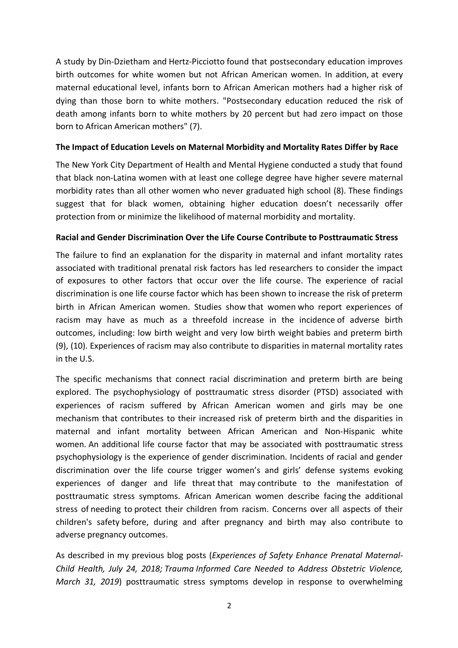A study by Din-Dzietham and Hertz-Picciotto found that postsecondary education improves birth outcomes for white women but not African American women. In addition, at every maternal educational level, infants born to African American mothers had a higher risk of dying than those born to white mothers. "Postsecondary education reduced the risk of death among infants born to white mothers by 20 percent but had zero impact on those born to African American mothers" (7).

#### **The Impact of Education Levels on Maternal Morbidity and Mortality Rates Differ by Race**

The New York City Department of Health and Mental Hygiene conducted a study that found that black non-Latina women with at least one college degree have higher severe maternal morbidity rates than all other women who never graduated high school (8). These findings suggest that for black women, obtaining higher education doesn't necessarily offer protection from or minimize the likelihood of maternal morbidity and mortality.

## **Racial and Gender Discrimination Over the Life Course Contribute to Posttraumatic Stress**

The failure to find an explanation for the disparity in maternal and infant mortality rates associated with traditional prenatal risk factors has led researchers to consider the impact of exposures to other factors that occur over the life course. The experience of racial discrimination is one life course factor which has been shown to increase the risk of preterm birth in African American women. Studies show that women who report experiences of racism may have as much as a threefold increase in the incidence of adverse birth outcomes, including: low birth weight and very low birth weight babies and preterm birth (9), (10). Experiences of racism may also contribute to disparities in maternal mortality rates in the U.S.

The specific mechanisms that connect racial discrimination and preterm birth are being explored. The psychophysiology of posttraumatic stress disorder (PTSD) associated with experiences of racism suffered by African American women and girls may be one mechanism that contributes to their increased risk of preterm birth and the disparities in maternal and infant mortality between African American and Non-Hispanic white women. An additional life course factor that may be associated with posttraumatic stress psychophysiology is the experience of gender discrimination. Incidents of racial and gender discrimination over the life course trigger women's and girls' defense systems evoking experiences of danger and life threat that may contribute to the manifestation of posttraumatic stress symptoms. African American women describe facing the additional stress of needing to protect their children from racism. Concerns over all aspects of their children's safety before, during and after pregnancy and birth may also contribute to adverse pregnancy outcomes.

As described in my previous blog posts (*Experiences of Safety Enhance Prenatal Maternal-Child Health, July 24, 2018; Trauma Informed Care Needed to Address Obstetric Violence, March 31, 2019*) posttraumatic stress symptoms develop in response to overwhelming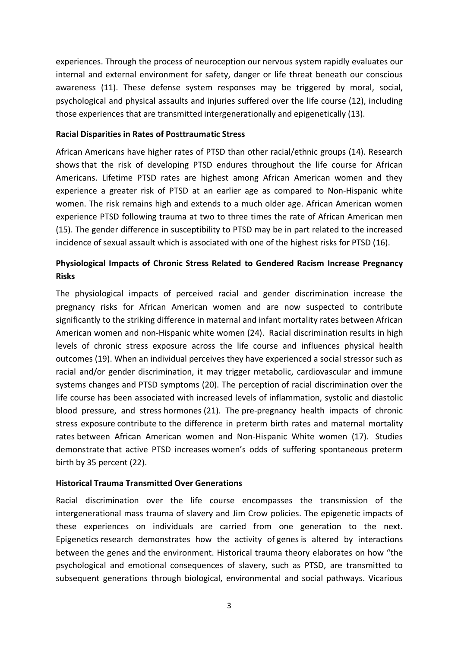experiences. Through the process of neuroception our nervous system rapidly evaluates our internal and external environment for safety, danger or life threat beneath our conscious awareness (11). These defense system responses may be triggered by moral, social, psychological and physical assaults and injuries suffered over the life course (12), including those experiences that are transmitted intergenerationally and epigenetically (13).

#### **Racial Disparities in Rates of Posttraumatic Stress**

African Americans have higher rates of PTSD than other racial/ethnic groups (14). Research shows that the risk of developing PTSD endures throughout the life course for African Americans. Lifetime PTSD rates are highest among African American women and they experience a greater risk of PTSD at an earlier age as compared to Non-Hispanic white women. The risk remains high and extends to a much older age. African American women experience PTSD following trauma at two to three times the rate of African American men (15). The gender difference in susceptibility to PTSD may be in part related to the increased incidence of sexual assault which is associated with one of the highest risks for PTSD (16).

# **Physiological Impacts of Chronic Stress Related to Gendered Racism Increase Pregnancy Risks**

The physiological impacts of perceived racial and gender discrimination increase the pregnancy risks for African American women and are now suspected to contribute significantly to the striking difference in maternal and infant mortality rates between African American women and non-Hispanic white women (24). Racial discrimination results in high levels of chronic stress exposure across the life course and influences physical health outcomes (19). When an individual perceives they have experienced a social stressor such as racial and/or gender discrimination, it may trigger metabolic, cardiovascular and immune systems changes and PTSD symptoms (20). The perception of racial discrimination over the life course has been associated with increased levels of inflammation, systolic and diastolic blood pressure, and stress hormones (21). The pre-pregnancy health impacts of chronic stress exposure contribute to the difference in preterm birth rates and maternal mortality rates between African American women and Non-Hispanic White women (17). Studies demonstrate that active PTSD increases women's odds of suffering spontaneous preterm birth by 35 percent (22).

#### **Historical Trauma Transmitted Over Generations**

Racial discrimination over the life course encompasses the transmission of the intergenerational mass trauma of slavery and Jim Crow policies. The epigenetic impacts of these experiences on individuals are carried from one generation to the next. Epigenetics research demonstrates how the activity of genes is altered by interactions between the genes and the environment. Historical trauma theory elaborates on how "the psychological and emotional consequences of slavery, such as PTSD, are transmitted to subsequent generations through biological, environmental and social pathways. Vicarious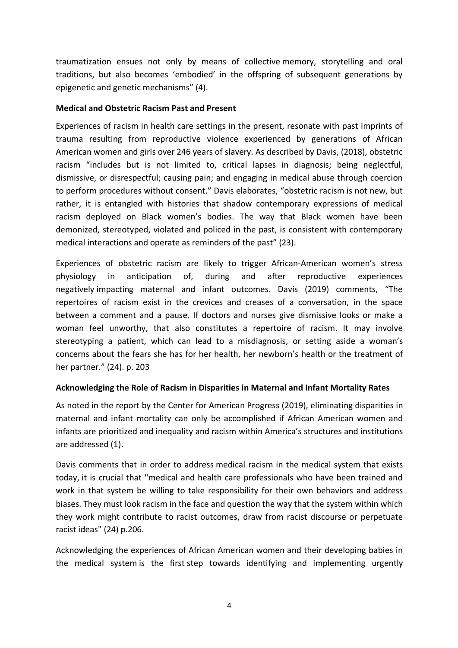traumatization ensues not only by means of collective memory, storytelling and oral traditions, but also becomes 'embodied' in the offspring of subsequent generations by epigenetic and genetic mechanisms" (4).

#### **Medical and Obstetric Racism Past and Present**

Experiences of racism in health care settings in the present, resonate with past imprints of trauma resulting from reproductive violence experienced by generations of African American women and girls over 246 years of slavery. As described by Davis, (2018), obstetric racism "includes but is not limited to, critical lapses in diagnosis; being neglectful, dismissive, or disrespectful; causing pain; and engaging in medical abuse through coercion to perform procedures without consent." Davis elaborates, "obstetric racism is not new, but rather, it is entangled with histories that shadow contemporary expressions of medical racism deployed on Black women's bodies. The way that Black women have been demonized, stereotyped, violated and policed in the past, is consistent with contemporary medical interactions and operate as reminders of the past" (23).

Experiences of obstetric racism are likely to trigger African-American women's stress physiology in anticipation of, during and after reproductive experiences negatively impacting maternal and infant outcomes. Davis (2019) comments, "The repertoires of racism exist in the crevices and creases of a conversation, in the space between a comment and a pause. If doctors and nurses give dismissive looks or make a woman feel unworthy, that also constitutes a repertoire of racism. It may involve stereotyping a patient, which can lead to a misdiagnosis, or setting aside a woman's concerns about the fears she has for her health, her newborn's health or the treatment of her partner." (24). p. 203

## **Acknowledging the Role of Racism in Disparities in Maternal and Infant Mortality Rates**

As noted in the report by the Center for American Progress (2019), eliminating disparities in maternal and infant mortality can only be accomplished if African American women and infants are prioritized and inequality and racism within America's structures and institutions are addressed (1).

Davis comments that in order to address medical racism in the medical system that exists today, it is crucial that "medical and health care professionals who have been trained and work in that system be willing to take responsibility for their own behaviors and address biases. They must look racism in the face and question the way that the system within which they work might contribute to racist outcomes, draw from racist discourse or perpetuate racist ideas" (24) p.206.

Acknowledging the experiences of African American women and their developing babies in the medical system is the first step towards identifying and implementing urgently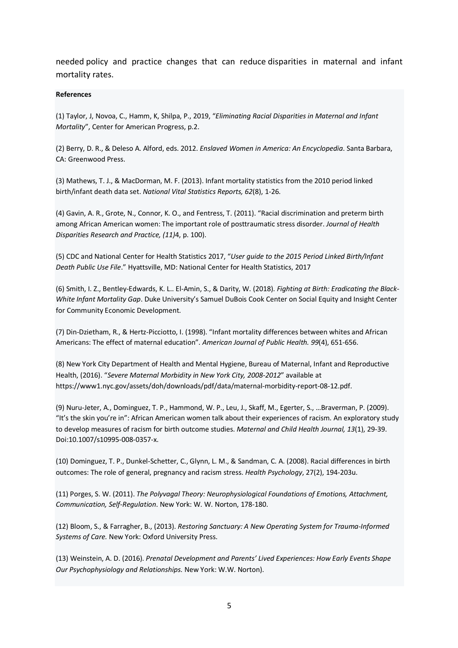needed policy and practice changes that can reduce disparities in maternal and infant mortality rates.

#### **References**

(1) Taylor, J, Novoa, C., Hamm, K, Shilpa, P., 2019, "*Eliminating Racial Disparities in Maternal and Infant Mortality*", Center for American Progress, p.2.

(2) Berry, D. R., & Deleso A. Alford, eds. 2012. *Enslaved Women in America: An Encyclopedia*. Santa Barbara, CA: Greenwood Press.

(3) Mathews, T. J., & MacDorman, M. F. (2013). Infant mortality statistics from the 2010 period linked birth/infant death data set. *National Vital Statistics Reports, 62*(8), 1-26.

(4) Gavin, A. R., Grote, N., Connor, K. O., and Fentress, T. (2011). "Racial discrimination and preterm birth among African American women: The important role of posttraumatic stress disorder. *Journal of Health Disparities Research and Practice, (11)*4, p. 100).

(5) CDC and National Center for Health Statistics 2017, "*User guide to the 2015 Period Linked Birth/Infant Death Public Use File*." Hyattsville, MD: National Center for Health Statistics, 2017

(6) Smith, I. Z., Bentley-Edwards, K. L.. El-Amin, S., & Darity, W. (2018). *Fighting at Birth: Eradicating the Black-White Infant Mortality Gap*. Duke University's Samuel DuBois Cook Center on Social Equity and Insight Center for Community Economic Development.

(7) Din-Dzietham, R., & Hertz-Picciotto, I. (1998). "Infant mortality differences between whites and African Americans: The effect of maternal education". *American Journal of Public Health. 99*(4), 651-656.

(8) New York City Department of Health and Mental Hygiene, Bureau of Maternal, Infant and Reproductive Health, (2016). "*Severe Maternal Morbidity in New York City, 2008-2012*" available at https://www1.nyc.gov/assets/doh/downloads/pdf/data/maternal-morbidity-report-08-12.pdf.

(9) Nuru-Jeter, A., Dominguez, T. P., Hammond, W. P., Leu, J., Skaff, M., Egerter, S., …Braverman, P. (2009). "It's the skin you're in": African American women talk about their experiences of racism. An exploratory study to develop measures of racism for birth outcome studies. *Maternal and Child Health Journal, 13*(1), 29-39. Doi:10.1007/s10995-008-0357-x.

(10) Dominguez, T. P., Dunkel-Schetter, C., Glynn, L. M., & Sandman, C. A. (2008). Racial differences in birth outcomes: The role of general, pregnancy and racism stress. *Health Psychology*, 27(2), 194-203u.

(11) Porges, S. W. (2011). *The Polyvagal Theory: Neurophysiological Foundations of Emotions, Attachment, Communication, Self-Regulation*. New York: W. W. Norton, 178-180.

(12) Bloom, S., & Farragher, B., (2013). *Restoring Sanctuary: A New Operating System for Trauma-Informed Systems of Care.* New York: Oxford University Press.

(13) Weinstein, A. D. (2016). *Prenatal Development and Parents' Lived Experiences: How Early Events Shape Our Psychophysiology and Relationships.* New York: W.W. Norton).